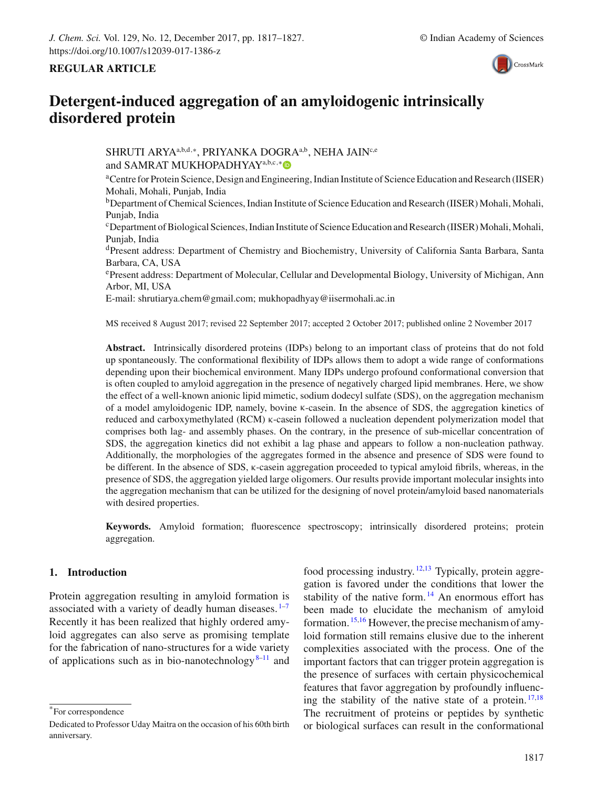**REGULAR ARTICLE**

# CrossMark

# **Detergent-induced aggregation of an amyloidogenic intrinsically disordered protein**

# SHRUTI ARYAª,b,d,\*, PRIYANKA DOGRAª,b, NEHA JAIN<sup>c,e</sup> and SAMRAT MUKHOPADHYAY<sup>a,b,c,∗</sup>

<sup>a</sup>Centre for Protein Science, Design and Engineering, Indian Institute of Science Education and Research (IISER) Mohali, Mohali, Punjab, India

<sup>b</sup>Department of Chemical Sciences, Indian Institute of Science Education and Research (IISER) Mohali, Mohali, Punjab, India

<sup>c</sup>Department of Biological Sciences, Indian Institute of Science Education and Research (IISER) Mohali, Mohali, Punjab, India

<sup>d</sup>Present address: Department of Chemistry and Biochemistry, University of California Santa Barbara, Santa Barbara, CA, USA

<sup>e</sup>Present address: Department of Molecular, Cellular and Developmental Biology, University of Michigan, Ann Arbor, MI, USA

E-mail: shrutiarya.chem@gmail.com; mukhopadhyay@iisermohali.ac.in

MS received 8 August 2017; revised 22 September 2017; accepted 2 October 2017; published online 2 November 2017

**Abstract.** Intrinsically disordered proteins (IDPs) belong to an important class of proteins that do not fold up spontaneously. The conformational flexibility of IDPs allows them to adopt a wide range of conformations depending upon their biochemical environment. Many IDPs undergo profound conformational conversion that is often coupled to amyloid aggregation in the presence of negatively charged lipid membranes. Here, we show the effect of a well-known anionic lipid mimetic, sodium dodecyl sulfate (SDS), on the aggregation mechanism of a model amyloidogenic IDP, namely, bovine κ-casein. In the absence of SDS, the aggregation kinetics of reduced and carboxymethylated (RCM) κ-casein followed a nucleation dependent polymerization model that comprises both lag- and assembly phases. On the contrary, in the presence of sub-micellar concentration of SDS, the aggregation kinetics did not exhibit a lag phase and appears to follow a non-nucleation pathway. Additionally, the morphologies of the aggregates formed in the absence and presence of SDS were found to be different. In the absence of SDS, κ-casein aggregation proceeded to typical amyloid fibrils, whereas, in the presence of SDS, the aggregation yielded large oligomers. Our results provide important molecular insights into the aggregation mechanism that can be utilized for the designing of novel protein/amyloid based nanomaterials with desired properties.

**Keywords.** Amyloid formation; fluorescence spectroscopy; intrinsically disordered proteins; protein aggregation.

## **1. Introduction**

Protein aggregation resulting in amyloid formation is associated with a variety of deadly human diseases.  $1-7$ Recently it has been realized that highly ordered amyloid aggregates can also serve as promising template for the fabrication of nano-structures for a wide variety of applications such as in bio-nanotechnology $8-11$  and food processing industry. 12,13 Typically, protein aggregation is favored under the conditions that lower the stability of the native form. $14$  An enormous effort has been made to elucidate the mechanism of amyloid formation. 15,16 However, the precise mechanism of amyloid formation still remains elusive due to the inherent complexities associated with the process. One of the important factors that can trigger protein aggregation is the presence of surfaces with certain physicochemical features that favor aggregation by profoundly influencing the stability of the native state of a protein.  $17,18$ The recruitment of proteins or peptides by synthetic or biological surfaces can result in the conformational

<sup>\*</sup>For correspondence

Dedicated to Professor Uday Maitra on the occasion of his 60th birth anniversary.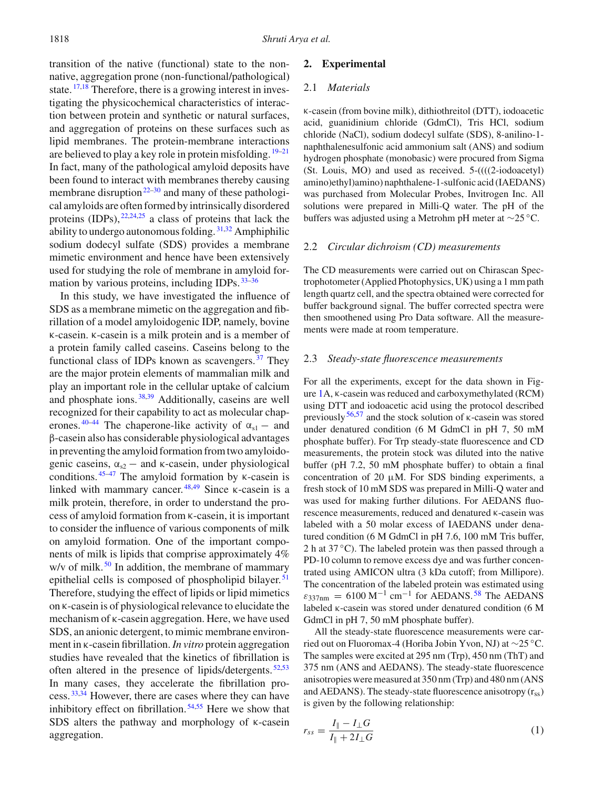transition of the native (functional) state to the nonnative, aggregation prone (non-functional/pathological) state.  $17,18$  Therefore, there is a growing interest in investigating the physicochemical characteristics of interaction between protein and synthetic or natural surfaces, and aggregation of proteins on these surfaces such as lipid membranes. The protein-membrane interactions are believed to play a key role in protein misfolding.  $19-21$ In fact, many of the pathological amyloid deposits have been found to interact with membranes thereby causing membrane disruption<sup>22–30</sup> and many of these pathological amyloids are often formed by intrinsically disordered proteins  $(IDPs)$ ,  $^{22,24,25}$  a class of proteins that lack the ability to undergo autonomous folding. 31,32 Amphiphilic sodium dodecyl sulfate (SDS) provides a membrane mimetic environment and hence have been extensively used for studying the role of membrane in amyloid formation by various proteins, including IDPs.  $33-36$ 

In this study, we have investigated the influence of SDS as a membrane mimetic on the aggregation and fibrillation of a model amyloidogenic IDP, namely, bovine κ-casein. κ-casein is a milk protein and is a member of a protein family called caseins. Caseins belong to the functional class of IDPs known as scavengers.  $37$  They are the major protein elements of mammalian milk and play an important role in the cellular uptake of calcium and phosphate ions. 38,39 Additionally, caseins are well recognized for their capability to act as molecular chaperones.  $40-44$  The chaperone-like activity of  $\alpha_{s1}$  – and β-casein also has considerable physiological advantages in preventing the amyloid formation from two amyloidogenic caseins,  $\alpha_{s2}$  – and  $\kappa$ -casein, under physiological conditions.  $45-47$  The amyloid formation by  $\kappa$ -casein is linked with mammary cancer. 48,49 Since κ-casein is a milk protein, therefore, in order to understand the process of amyloid formation from κ-casein, it is important to consider the influence of various components of milk on amyloid formation. One of the important components of milk is lipids that comprise approximately 4%  $w/v$  of milk.<sup>50</sup> In addition, the membrane of mammary epithelial cells is composed of phospholipid bilayer.<sup>51</sup> Therefore, studying the effect of lipids or lipid mimetics on κ-casein is of physiological relevance to elucidate the mechanism of κ-casein aggregation. Here, we have used SDS, an anionic detergent, to mimic membrane environment in κ-casein fibrillation. *In vitro* protein aggregation studies have revealed that the kinetics of fibrillation is often altered in the presence of lipids/detergents.<sup>52,53</sup> In many cases, they accelerate the fibrillation process. 33,34 However, there are cases where they can have inhibitory effect on fibrillation. 54,55 Here we show that SDS alters the pathway and morphology of κ-casein aggregation.

#### **2. Experimental**

#### 2.1 *Materials*

κ-casein (from bovine milk), dithiothreitol (DTT), iodoacetic acid, guanidinium chloride (GdmCl), Tris HCl, sodium chloride (NaCl), sodium dodecyl sulfate (SDS), 8-anilino-1 naphthalenesulfonic acid ammonium salt (ANS) and sodium hydrogen phosphate (monobasic) were procured from Sigma (St. Louis, MO) and used as received. 5-((((2-iodoacetyl) amino)ethyl)amino) naphthalene-1-sulfonic acid (IAEDANS) was purchased from Molecular Probes, Invitrogen Inc. All solutions were prepared in Milli-Q water. The pH of the buffers was adjusted using a Metrohm pH meter at ∼25 ◦C.

#### 2.2 *Circular dichroism (CD) measurements*

The CD measurements were carried out on Chirascan Spectrophotometer (Applied Photophysics, UK) using a 1 mm path length quartz cell, and the spectra obtained were corrected for buffer background signal. The buffer corrected spectra were then smoothened using Pro Data software. All the measurements were made at room temperature.

#### 2.3 *Steady-state fluorescence measurements*

For all the experiments, except for the data shown in Figure 1A, κ-casein was reduced and carboxymethylated (RCM) using DTT and iodoacetic acid using the protocol described previously  $56,57$  and the stock solution of  $\kappa$ -casein was stored under denatured condition (6 M GdmCl in pH 7, 50 mM phosphate buffer). For Trp steady-state fluorescence and CD measurements, the protein stock was diluted into the native buffer (pH 7.2, 50 mM phosphate buffer) to obtain a final concentration of 20  $\mu$ M. For SDS binding experiments, a fresh stock of 10 mM SDS was prepared in Milli-Q water and was used for making further dilutions. For AEDANS fluorescence measurements, reduced and denatured κ-casein was labeled with a 50 molar excess of IAEDANS under denatured condition (6 M GdmCl in pH 7.6, 100 mM Tris buffer, 2 h at 37 °C). The labeled protein was then passed through a PD-10 column to remove excess dye and was further concentrated using AMICON ultra (3 kDa cutoff; from Millipore). The concentration of the labeled protein was estimated using  $\varepsilon_{337nm} = 6100 \text{ M}^{-1} \text{ cm}^{-1}$  for AEDANS.<sup>58</sup> The AEDANS labeled κ-casein was stored under denatured condition (6 M GdmCl in pH 7, 50 mM phosphate buffer).

All the steady-state fluorescence measurements were carried out on Fluoromax-4 (Horiba Jobin Yvon, NJ) at ∼25 ◦C. The samples were excited at 295 nm (Trp), 450 nm (ThT) and 375 nm (ANS and AEDANS). The steady-state fluorescence anisotropies were measured at 350 nm (Trp) and 480 nm (ANS and AEDANS). The steady-state fluorescence anisotropy  $(r_{ss})$ is given by the following relationship:

$$
r_{ss} = \frac{I_{\parallel} - I_{\perp}G}{I_{\parallel} + 2I_{\perp}G}
$$
 (1)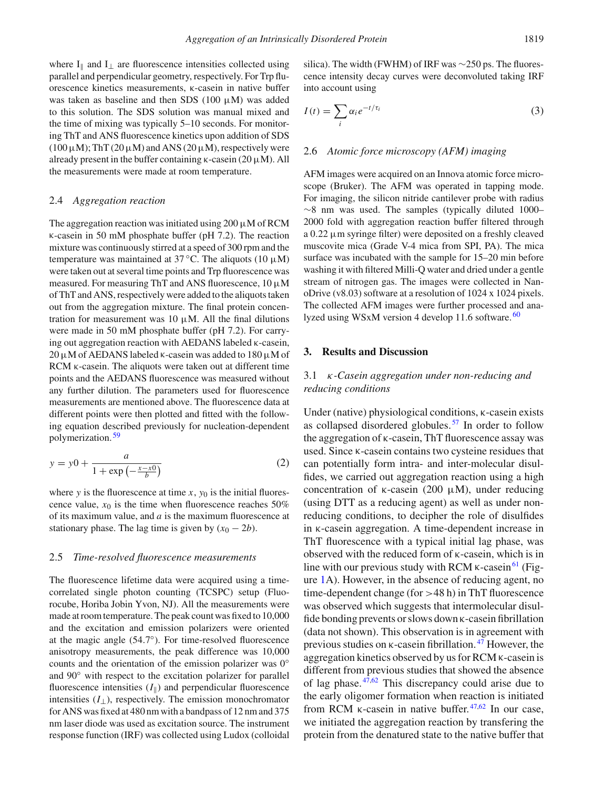where  $I_{\parallel}$  and  $I_{\perp}$  are fluorescence intensities collected using parallel and perpendicular geometry, respectively. For Trp fluorescence kinetics measurements, κ-casein in native buffer was taken as baseline and then SDS  $(100 \mu)$  was added to this solution. The SDS solution was manual mixed and the time of mixing was typically 5–10 seconds. For monitoring ThT and ANS fluorescence kinetics upon addition of SDS  $(100 \,\mu\text{M})$ ; ThT  $(20 \,\mu\text{M})$  and ANS  $(20 \,\mu\text{M})$ , respectively were already present in the buffer containing  $\kappa$ -casein (20  $\mu$ M). All the measurements were made at room temperature.

#### 2.4 *Aggregation reaction*

The aggregation reaction was initiated using  $200 \mu$ M of RCM κ-casein in 50 mM phosphate buffer (pH 7.2). The reaction mixture was continuously stirred at a speed of 300 rpm and the temperature was maintained at 37 °C. The aliquots (10  $\mu$ M) were taken out at several time points and Trp fluorescence was measured. For measuring ThT and ANS fluorescence,  $10 \mu M$ of ThT and ANS, respectively were added to the aliquots taken out from the aggregation mixture. The final protein concentration for measurement was 10  $\mu$ M. All the final dilutions were made in 50 mM phosphate buffer (pH 7.2). For carrying out aggregation reaction with AEDANS labeled κ-casein, 20 μM of AEDANS labeled  $κ$ -casein was added to 180 μM of RCM κ-casein. The aliquots were taken out at different time points and the AEDANS fluorescence was measured without any further dilution. The parameters used for fluorescence measurements are mentioned above. The fluorescence data at different points were then plotted and fitted with the following equation described previously for nucleation-dependent polymerization. <sup>59</sup>

$$
y = y0 + \frac{a}{1 + \exp\left(-\frac{x - x0}{b}\right)}
$$
 (2)

where *y* is the fluorescence at time  $x$ ,  $y_0$  is the initial fluorescence value,  $x_0$  is the time when fluorescence reaches  $50\%$ of its maximum value, and *a* is the maximum fluorescence at stationary phase. The lag time is given by  $(x_0 - 2b)$ .

#### 2.5 *Time-resolved fluorescence measurements*

The fluorescence lifetime data were acquired using a timecorrelated single photon counting (TCSPC) setup (Fluorocube, Horiba Jobin Yvon, NJ). All the measurements were made at room temperature. The peak count was fixed to 10,000 and the excitation and emission polarizers were oriented at the magic angle (54.7°). For time-resolved fluorescence anisotropy measurements, the peak difference was 10,000 counts and the orientation of the emission polarizer was 0◦ and 90° with respect to the excitation polarizer for parallel fluorescence intensities  $(I_{\parallel})$  and perpendicular fluorescence intensities  $(I_{\perp})$ , respectively. The emission monochromator for ANS was fixed at 480 nm with a bandpass of 12 nm and 375 nm laser diode was used as excitation source. The instrument response function (IRF) was collected using Ludox (colloidal

silica). The width (FWHM) of IRF was ∼250 ps. The fluorescence intensity decay curves were deconvoluted taking IRF into account using

$$
I(t) = \sum_{i} \alpha_i e^{-t/\tau_i}
$$
 (3)

#### 2.6 *Atomic force microscopy (AFM) imaging*

AFM images were acquired on an Innova atomic force microscope (Bruker). The AFM was operated in tapping mode. For imaging, the silicon nitride cantilever probe with radius ∼8 nm was used. The samples (typically diluted 1000– 2000 fold with aggregation reaction buffer filtered through a 0.22 μm syringe filter) were deposited on a freshly cleaved muscovite mica (Grade V-4 mica from SPI, PA). The mica surface was incubated with the sample for 15–20 min before washing it with filtered Milli-Q water and dried under a gentle stream of nitrogen gas. The images were collected in NanoDrive (v8.03) software at a resolution of 1024 x 1024 pixels. The collected AFM images were further processed and analyzed using WSxM version 4 develop 11.6 software.<sup>60</sup>

### **3. Results and Discussion**

## 3.1 κ*-Casein aggregation under non-reducing and reducing conditions*

Under (native) physiological conditions, κ-casein exists as collapsed disordered globules. <sup>57</sup> In order to follow the aggregation of κ-casein, ThT fluorescence assay was used. Since κ-casein contains two cysteine residues that can potentially form intra- and inter-molecular disulfides, we carried out aggregation reaction using a high concentration of κ-casein (200 μM), under reducing (using DTT as a reducing agent) as well as under nonreducing conditions, to decipher the role of disulfides in κ-casein aggregation. A time-dependent increase in ThT fluorescence with a typical initial lag phase, was observed with the reduced form of κ-casein, which is in line with our previous study with RCM  $\kappa$ -casein<sup>61</sup> (Figure 1A). However, in the absence of reducing agent, no time-dependent change (for  $>48$  h) in ThT fluorescence was observed which suggests that intermolecular disulfide bonding prevents or slows down κ-casein fibrillation (data not shown). This observation is in agreement with previous studies on  $\kappa$ -casein fibrillation.<sup>47</sup> However, the aggregation kinetics observed by us for RCM κ-casein is different from previous studies that showed the absence of lag phase.  $47,62$  This discrepancy could arise due to the early oligomer formation when reaction is initiated from RCM  $\kappa$ -casein in native buffer.  $47,62$  In our case, we initiated the aggregation reaction by transfering the protein from the denatured state to the native buffer that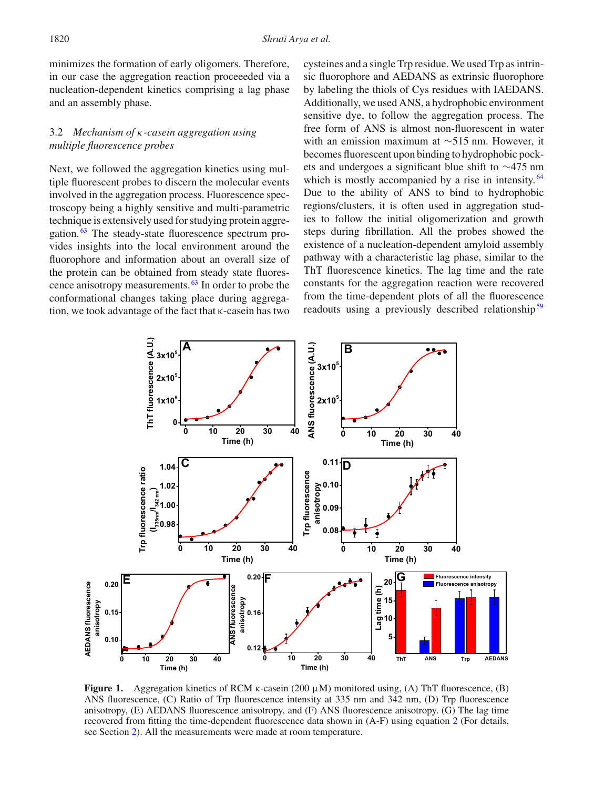minimizes the formation of early oligomers. Therefore, in our case the aggregation reaction proceeeded via a nucleation-dependent kinetics comprising a lag phase and an assembly phase.

# 3.2 *Mechanism of* κ*-casein aggregation using multiple fluorescence probes*

Next, we followed the aggregation kinetics using multiple fluorescent probes to discern the molecular events involved in the aggregation process. Fluorescence spectroscopy being a highly sensitive and multi-parametric technique is extensively used for studying protein aggregation. <sup>63</sup> The steady-state fluorescence spectrum provides insights into the local environment around the fluorophore and information about an overall size of the protein can be obtained from steady state fluorescence anisotropy measurements. <sup>63</sup> In order to probe the conformational changes taking place during aggregation, we took advantage of the fact that κ-casein has two cysteines and a single Trp residue. We used Trp as intrinsic fluorophore and AEDANS as extrinsic fluorophore by labeling the thiols of Cys residues with IAEDANS. Additionally, we used ANS, a hydrophobic environment sensitive dye, to follow the aggregation process. The free form of ANS is almost non-fluorescent in water with an emission maximum at ∼515 nm. However, it becomes fluorescent upon binding to hydrophobic pockets and undergoes a significant blue shift to ∼475 nm which is mostly accompanied by a rise in intensity.<sup>64</sup> Due to the ability of ANS to bind to hydrophobic regions/clusters, it is often used in aggregation studies to follow the initial oligomerization and growth steps during fibrillation. All the probes showed the existence of a nucleation-dependent amyloid assembly pathway with a characteristic lag phase, similar to the ThT fluorescence kinetics. The lag time and the rate constants for the aggregation reaction were recovered from the time-dependent plots of all the fluorescence readouts using a previously described relationship<sup>59</sup>



**Figure 1.** Aggregation kinetics of RCM  $\kappa$ -casein (200  $\mu$ M) monitored using, (A) ThT fluorescence, (B) ANS fluorescence, (C) Ratio of Trp fluorescence intensity at 335 nm and 342 nm, (D) Trp fluorescence anisotropy, (E) AEDANS fluorescence anisotropy, and (F) ANS fluorescence anisotropy. (G) The lag time recovered from fitting the time-dependent fluorescence data shown in (A-F) using equation 2 (For details, see Section 2). All the measurements were made at room temperature.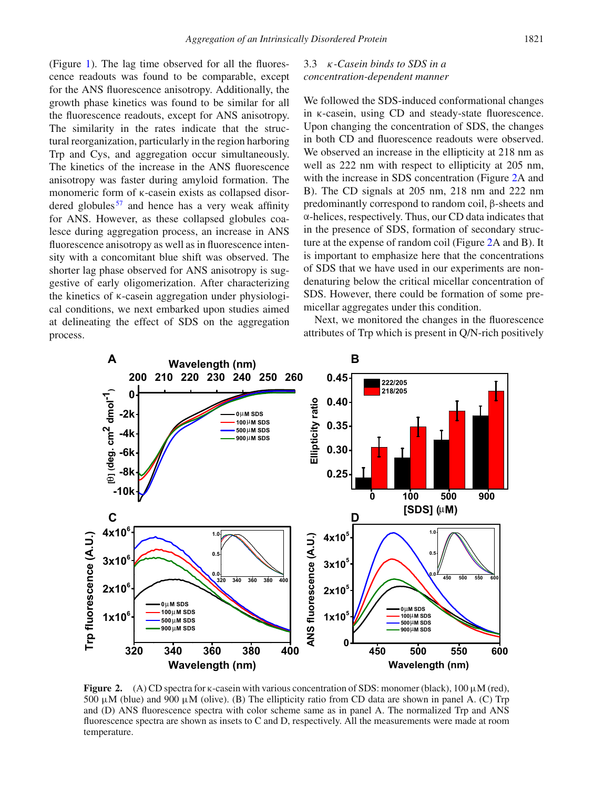(Figure 1). The lag time observed for all the fluorescence readouts was found to be comparable, except for the ANS fluorescence anisotropy. Additionally, the growth phase kinetics was found to be similar for all the fluorescence readouts, except for ANS anisotropy. The similarity in the rates indicate that the structural reorganization, particularly in the region harboring Trp and Cys, and aggregation occur simultaneously. The kinetics of the increase in the ANS fluorescence anisotropy was faster during amyloid formation. The monomeric form of κ-casein exists as collapsed disordered globules<sup>57</sup> and hence has a very weak affinity for ANS. However, as these collapsed globules coalesce during aggregation process, an increase in ANS fluorescence anisotropy as well as in fluorescence intensity with a concomitant blue shift was observed. The shorter lag phase observed for ANS anisotropy is suggestive of early oligomerization. After characterizing the kinetics of κ-casein aggregation under physiological conditions, we next embarked upon studies aimed at delineating the effect of SDS on the aggregation process.

# 3.3 κ*-Casein binds to SDS in a concentration-dependent manner*

We followed the SDS-induced conformational changes in κ-casein, using CD and steady-state fluorescence. Upon changing the concentration of SDS, the changes in both CD and fluorescence readouts were observed. We observed an increase in the ellipticity at 218 nm as well as 222 nm with respect to ellipticity at 205 nm, with the increase in SDS concentration (Figure 2A and B). The CD signals at 205 nm, 218 nm and 222 nm predominantly correspond to random coil, β-sheets and α-helices, respectively. Thus, our CD data indicates that in the presence of SDS, formation of secondary structure at the expense of random coil (Figure 2A and B). It is important to emphasize here that the concentrations of SDS that we have used in our experiments are nondenaturing below the critical micellar concentration of SDS. However, there could be formation of some premicellar aggregates under this condition.

Next, we monitored the changes in the fluorescence attributes of Trp which is present in Q/N-rich positively



**Figure 2.** (A) CD spectra for κ-casein with various concentration of SDS: monomer (black), 100 μM (red), 500 μM (blue) and 900 μM (olive). (B) The ellipticity ratio from CD data are shown in panel A. (C) Trp and (D) ANS fluorescence spectra with color scheme same as in panel A. The normalized Trp and ANS fluorescence spectra are shown as insets to C and D, respectively. All the measurements were made at room temperature.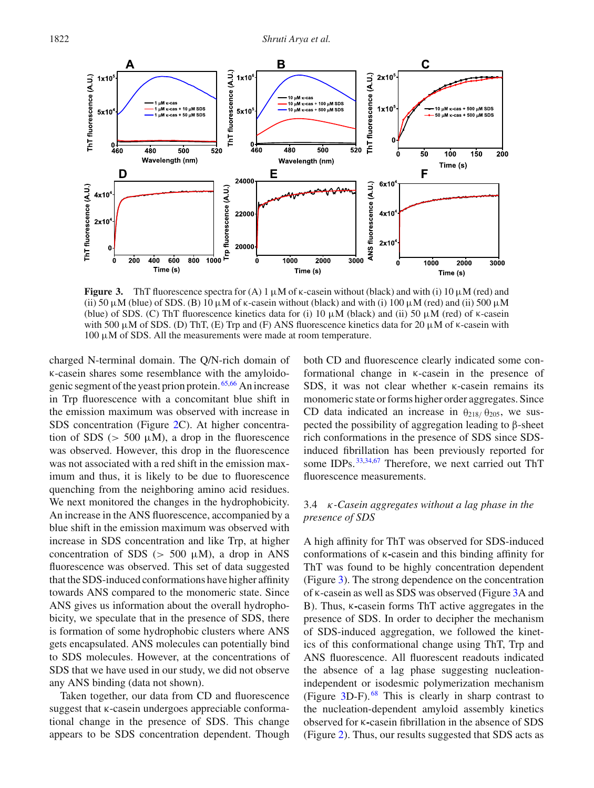

**Figure 3.** ThT fluorescence spectra for (A) 1  $\mu$ M of k-casein without (black) and with (i) 10  $\mu$ M (red) and (ii) 50  $\mu$ M (blue) of SDS. (B) 10  $\mu$ M of  $\kappa$ -casein without (black) and with (i) 100  $\mu$ M (red) and (ii) 500  $\mu$ M (blue) of SDS. (C) ThT fluorescence kinetics data for (i) 10 μM (black) and (ii) 50 μM (red) of κ-casein with 500  $\mu$ M of SDS. (D) ThT, (E) Trp and (F) ANS fluorescence kinetics data for 20  $\mu$ M of  $\kappa$ -casein with  $100 \mu$ M of SDS. All the measurements were made at room temperature.

charged N-terminal domain. The Q/N-rich domain of κ-casein shares some resemblance with the amyloidogenic segment of the yeast prion protein. 65,66 An increase in Trp fluorescence with a concomitant blue shift in the emission maximum was observed with increase in SDS concentration (Figure 2C). At higher concentration of SDS ( $> 500 \mu M$ ), a drop in the fluorescence was observed. However, this drop in the fluorescence was not associated with a red shift in the emission maximum and thus, it is likely to be due to fluorescence quenching from the neighboring amino acid residues. We next monitored the changes in the hydrophobicity. An increase in the ANS fluorescence, accompanied by a blue shift in the emission maximum was observed with increase in SDS concentration and like Trp, at higher concentration of SDS ( $> 500 \mu M$ ), a drop in ANS fluorescence was observed. This set of data suggested that the SDS-induced conformations have higher affinity towards ANS compared to the monomeric state. Since ANS gives us information about the overall hydrophobicity, we speculate that in the presence of SDS, there is formation of some hydrophobic clusters where ANS gets encapsulated. ANS molecules can potentially bind to SDS molecules. However, at the concentrations of SDS that we have used in our study, we did not observe any ANS binding (data not shown).

Taken together, our data from CD and fluorescence suggest that κ-casein undergoes appreciable conformational change in the presence of SDS. This change appears to be SDS concentration dependent. Though both CD and fluorescence clearly indicated some conformational change in κ-casein in the presence of SDS, it was not clear whether κ-casein remains its monomeric state or forms higher order aggregates. Since CD data indicated an increase in  $\theta_{218}/\theta_{205}$ , we suspected the possibility of aggregation leading to β-sheet rich conformations in the presence of SDS since SDSinduced fibrillation has been previously reported for some IDPs.  $33,34,67$  Therefore, we next carried out ThT fluorescence measurements.

# 3.4 κ*-Casein aggregates without a lag phase in the presence of SDS*

A high affinity for ThT was observed for SDS-induced conformations of κ**-**casein and this binding affinity for ThT was found to be highly concentration dependent (Figure 3). The strong dependence on the concentration of κ-casein as well as SDS was observed (Figure 3A and B). Thus, κ**-**casein forms ThT active aggregates in the presence of SDS. In order to decipher the mechanism of SDS-induced aggregation, we followed the kinetics of this conformational change using ThT, Trp and ANS fluorescence. All fluorescent readouts indicated the absence of a lag phase suggesting nucleationindependent or isodesmic polymerization mechanism (Figure  $3D-F$ ). <sup>68</sup> This is clearly in sharp contrast to the nucleation-dependent amyloid assembly kinetics observed for κ**-**casein fibrillation in the absence of SDS (Figure 2). Thus, our results suggested that SDS acts as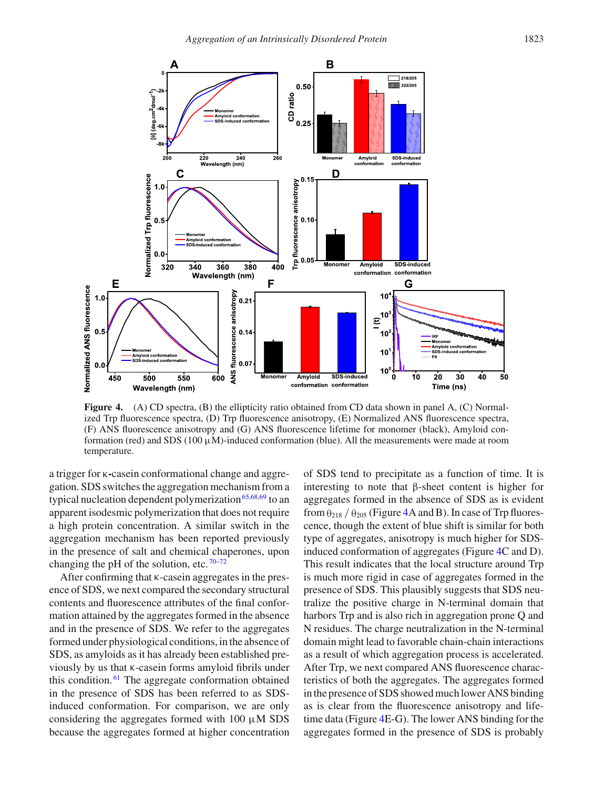

**Figure 4.** (A) CD spectra, (B) the ellipticity ratio obtained from CD data shown in panel A, (C) Normalized Trp fluorescence spectra, (D) Trp fluorescence anisotropy, (E) Normalized ANS fluorescence spectra, (F) ANS fluorescence anisotropy and (G) ANS fluorescence lifetime for monomer (black), Amyloid conformation (red) and SDS (100  $\mu$ M)-induced conformation (blue). All the measurements were made at room temperature.

a trigger for κ**-**casein conformational change and aggregation. SDS switches the aggregation mechanism from a typical nucleation dependent polymerization $65,68,69$  to an apparent isodesmic polymerization that does not require a high protein concentration. A similar switch in the aggregation mechanism has been reported previously in the presence of salt and chemical chaperones, upon changing the pH of the solution, etc.  $70-72$ 

After confirming that κ-casein aggregates in the presence of SDS, we next compared the secondary structural contents and fluorescence attributes of the final conformation attained by the aggregates formed in the absence and in the presence of SDS. We refer to the aggregates formed under physiological conditions, in the absence of SDS, as amyloids as it has already been established previously by us that κ-casein forms amyloid fibrils under this condition. <sup>61</sup> The aggregate conformation obtained in the presence of SDS has been referred to as SDSinduced conformation. For comparison, we are only considering the aggregates formed with  $100 \mu M$  SDS because the aggregates formed at higher concentration of SDS tend to precipitate as a function of time. It is interesting to note that β-sheet content is higher for aggregates formed in the absence of SDS as is evident from  $\theta_{218}$  /  $\theta_{205}$  (Figure 4A and B). In case of Trp fluorescence, though the extent of blue shift is similar for both type of aggregates, anisotropy is much higher for SDSinduced conformation of aggregates (Figure 4C and D). This result indicates that the local structure around Trp is much more rigid in case of aggregates formed in the presence of SDS. This plausibly suggests that SDS neutralize the positive charge in N-terminal domain that harbors Trp and is also rich in aggregation prone Q and N residues. The charge neutralization in the N-terminal domain might lead to favorable chain-chain interactions as a result of which aggregation process is accelerated. After Trp, we next compared ANS fluorescence characteristics of both the aggregates. The aggregates formed in the presence of SDS showed much lower ANS binding as is clear from the fluorescence anisotropy and lifetime data (Figure 4E-G). The lower ANS binding for the aggregates formed in the presence of SDS is probably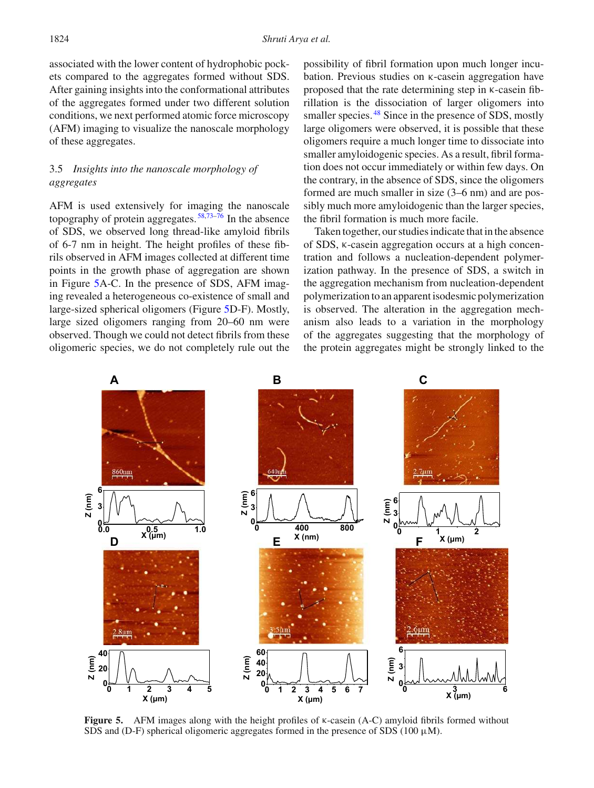associated with the lower content of hydrophobic pockets compared to the aggregates formed without SDS. After gaining insights into the conformational attributes of the aggregates formed under two different solution conditions, we next performed atomic force microscopy (AFM) imaging to visualize the nanoscale morphology of these aggregates.

# 3.5 *Insights into the nanoscale morphology of aggregates*

AFM is used extensively for imaging the nanoscale topography of protein aggregates.  $58,73-76$  In the absence of SDS, we observed long thread-like amyloid fibrils of 6-7 nm in height. The height profiles of these fibrils observed in AFM images collected at different time points in the growth phase of aggregation are shown in Figure 5A-C. In the presence of SDS, AFM imaging revealed a heterogeneous co-existence of small and large-sized spherical oligomers (Figure 5D-F). Mostly, large sized oligomers ranging from 20–60 nm were observed. Though we could not detect fibrils from these oligomeric species, we do not completely rule out the possibility of fibril formation upon much longer incubation. Previous studies on κ-casein aggregation have proposed that the rate determining step in κ-casein fibrillation is the dissociation of larger oligomers into smaller species.<sup>48</sup> Since in the presence of SDS, mostly large oligomers were observed, it is possible that these oligomers require a much longer time to dissociate into smaller amyloidogenic species. As a result, fibril formation does not occur immediately or within few days. On the contrary, in the absence of SDS, since the oligomers formed are much smaller in size (3–6 nm) and are possibly much more amyloidogenic than the larger species, the fibril formation is much more facile.

Taken together, our studies indicate that in the absence of SDS, κ-casein aggregation occurs at a high concentration and follows a nucleation-dependent polymerization pathway. In the presence of SDS, a switch in the aggregation mechanism from nucleation-dependent polymerization to an apparent isodesmic polymerization is observed. The alteration in the aggregation mechanism also leads to a variation in the morphology of the aggregates suggesting that the morphology of the protein aggregates might be strongly linked to the



**Figure 5.** AFM images along with the height profiles of κ-casein (A-C) amyloid fibrils formed without SDS and (D-F) spherical oligomeric aggregates formed in the presence of SDS (100  $\mu$ M).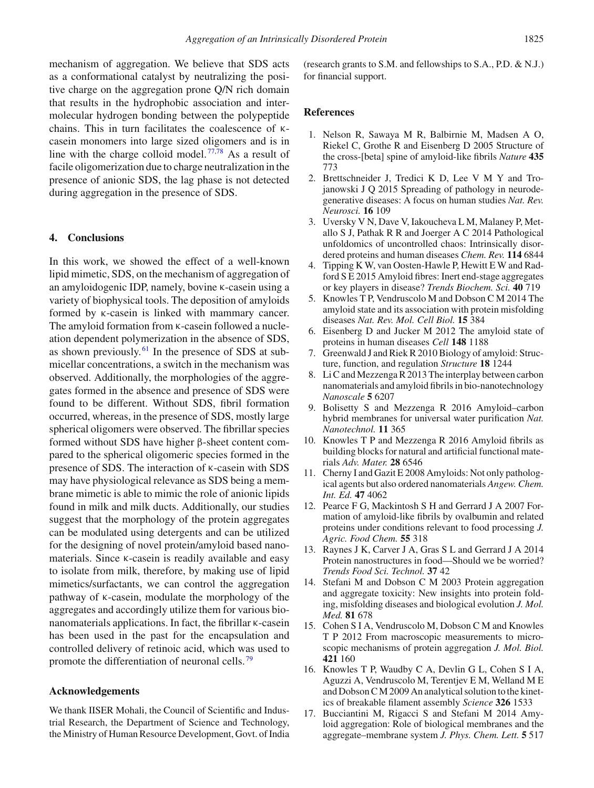mechanism of aggregation. We believe that SDS acts as a conformational catalyst by neutralizing the positive charge on the aggregation prone Q/N rich domain that results in the hydrophobic association and intermolecular hydrogen bonding between the polypeptide chains. This in turn facilitates the coalescence of κcasein monomers into large sized oligomers and is in line with the charge colloid model.  $77,78$  As a result of facile oligomerization due to charge neutralization in the presence of anionic SDS, the lag phase is not detected during aggregation in the presence of SDS.

### **4. Conclusions**

In this work, we showed the effect of a well-known lipid mimetic, SDS, on the mechanism of aggregation of an amyloidogenic IDP, namely, bovine κ-casein using a variety of biophysical tools. The deposition of amyloids formed by κ-casein is linked with mammary cancer. The amyloid formation from κ-casein followed a nucleation dependent polymerization in the absence of SDS, as shown previously.<sup>61</sup> In the presence of SDS at submicellar concentrations, a switch in the mechanism was observed. Additionally, the morphologies of the aggregates formed in the absence and presence of SDS were found to be different. Without SDS, fibril formation occurred, whereas, in the presence of SDS, mostly large spherical oligomers were observed. The fibrillar species formed without SDS have higher β-sheet content compared to the spherical oligomeric species formed in the presence of SDS. The interaction of κ-casein with SDS may have physiological relevance as SDS being a membrane mimetic is able to mimic the role of anionic lipids found in milk and milk ducts. Additionally, our studies suggest that the morphology of the protein aggregates can be modulated using detergents and can be utilized for the designing of novel protein/amyloid based nanomaterials. Since κ-casein is readily available and easy to isolate from milk, therefore, by making use of lipid mimetics/surfactants, we can control the aggregation pathway of κ-casein, modulate the morphology of the aggregates and accordingly utilize them for various bionanomaterials applications. In fact, the fibrillar κ-casein has been used in the past for the encapsulation and controlled delivery of retinoic acid, which was used to promote the differentiation of neuronal cells.<sup>79</sup>

#### **Acknowledgements**

We thank IISER Mohali, the Council of Scientific and Industrial Research, the Department of Science and Technology, the Ministry of Human Resource Development, Govt. of India (research grants to S.M. and fellowships to S.A., P.D. & N.J.) for financial support.

#### **References**

- 1. Nelson R, Sawaya M R, Balbirnie M, Madsen A O, Riekel C, Grothe R and Eisenberg D 2005 Structure of the cross-[beta] spine of amyloid-like fibrils *Nature* **435** 773
- 2. Brettschneider J, Tredici K D, Lee V M Y and Trojanowski J Q 2015 Spreading of pathology in neurodegenerative diseases: A focus on human studies *Nat. Rev. Neurosci.* **16** 109
- 3. Uversky V N, Dave V, Iakoucheva L M, Malaney P, Metallo S J, Pathak R R and Joerger A C 2014 Pathological unfoldomics of uncontrolled chaos: Intrinsically disordered proteins and human diseases *Chem. Rev.* **114** 6844
- 4. Tipping K W, van Oosten-Hawle P, Hewitt E W and Radford S E 2015 Amyloid fibres: Inert end-stage aggregates or key players in disease? *Trends Biochem. Sci.* **40** 719
- 5. Knowles T P, Vendruscolo M and Dobson C M 2014 The amyloid state and its association with protein misfolding diseases *Nat. Rev. Mol. Cell Biol.* **15** 384
- 6. Eisenberg D and Jucker M 2012 The amyloid state of proteins in human diseases *Cell* **148** 1188
- 7. Greenwald J and Riek R 2010 Biology of amyloid: Structure, function, and regulation *Structure* **18** 1244
- 8. Li C and Mezzenga R 2013 The interplay between carbon nanomaterials and amyloid fibrils in bio-nanotechnology *Nanoscale* **5** 6207
- 9. Bolisetty S and Mezzenga R 2016 Amyloid–carbon hybrid membranes for universal water purification *Nat. Nanotechnol.* **11** 365
- 10. Knowles T P and Mezzenga R 2016 Amyloid fibrils as building blocks for natural and artificial functional materials *Adv. Mater.* **28** 6546
- 11. Cherny I and Gazit E 2008 Amyloids: Not only pathological agents but also ordered nanomaterials *Angew. Chem. Int. Ed.* **47** 4062
- 12. Pearce F G, Mackintosh S H and Gerrard J A 2007 Formation of amyloid-like fibrils by ovalbumin and related proteins under conditions relevant to food processing *J. Agric. Food Chem.* **55** 318
- 13. Raynes J K, Carver J A, Gras S L and Gerrard J A 2014 Protein nanostructures in food—Should we be worried? *Trends Food Sci. Technol.* **37** 42
- 14. Stefani M and Dobson C M 2003 Protein aggregation and aggregate toxicity: New insights into protein folding, misfolding diseases and biological evolution *J. Mol. Med.* **81** 678
- 15. Cohen S I A, Vendruscolo M, Dobson C M and Knowles T P 2012 From macroscopic measurements to microscopic mechanisms of protein aggregation *J. Mol. Biol.* **421** 160
- 16. Knowles T P, Waudby C A, Devlin G L, Cohen S I A, Aguzzi A, Vendruscolo M, Terentjev E M, Welland M E and Dobson C M 2009 An analytical solution to the kinetics of breakable filament assembly *Science* **326** 1533
- 17. Bucciantini M, Rigacci S and Stefani M 2014 Amyloid aggregation: Role of biological membranes and the aggregate–membrane system *J. Phys. Chem. Lett.* **5** 517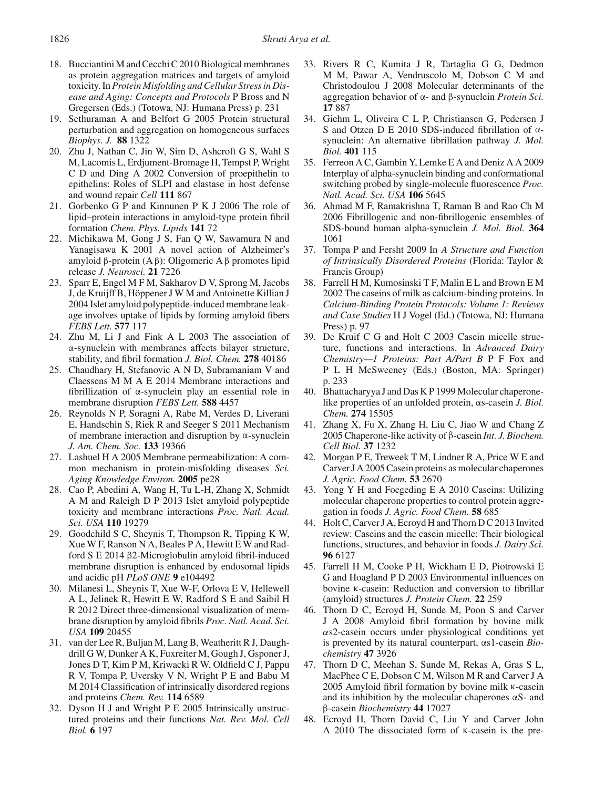- 18. Bucciantini M and Cecchi C 2010 Biological membranes as protein aggregation matrices and targets of amyloid toxicity. In*Protein Misfolding and Cellular Stress in Disease and Aging: Concepts and Protocols* P Bross and N Gregersen (Eds.) (Totowa, NJ: Humana Press) p. 231
- 19. Sethuraman A and Belfort G 2005 Protein structural perturbation and aggregation on homogeneous surfaces *Biophys. J.* **88** 1322
- 20. Zhu J, Nathan C, Jin W, Sim D, Ashcroft G S, Wahl S M, Lacomis L, Erdjument-Bromage H, Tempst P, Wright C D and Ding A 2002 Conversion of proepithelin to epithelins: Roles of SLPI and elastase in host defense and wound repair *Cell* **111** 867
- 21. Gorbenko G P and Kinnunen P K J 2006 The role of lipid–protein interactions in amyloid-type protein fibril formation *Chem. Phys. Lipids* **141** 72
- 22. Michikawa M, Gong J S, Fan Q W, Sawamura N and Yanagisawa K 2001 A novel action of Alzheimer's amyloid β-protein (A β): Oligomeric A β promotes lipid release *J. Neurosci.* **21** 7226
- 23. Sparr E, Engel M F M, Sakharov D V, Sprong M, Jacobs J, de Kruijff B, Höppener J W M and Antoinette Killian J 2004 Islet amyloid polypeptide-induced membrane leakage involves uptake of lipids by forming amyloid fibers *FEBS Lett.* **577** 117
- 24. Zhu M, Li J and Fink A L 2003 The association of α-synuclein with membranes affects bilayer structure, stability, and fibril formation *J. Biol. Chem.* **278** 40186
- 25. Chaudhary H, Stefanovic A N D, Subramaniam V and Claessens M M A E 2014 Membrane interactions and fibrillization of α-synuclein play an essential role in membrane disruption *FEBS Lett.* **588** 4457
- 26. Reynolds N P, Soragni A, Rabe M, Verdes D, Liverani E, Handschin S, Riek R and Seeger S 2011 Mechanism of membrane interaction and disruption by α-synuclein *J. Am. Chem. Soc.* **133** 19366
- 27. Lashuel H A 2005 Membrane permeabilization: A common mechanism in protein-misfolding diseases *Sci. Aging Knowledge Environ.* **2005** pe28
- 28. Cao P, Abedini A, Wang H, Tu L-H, Zhang X, Schmidt A M and Raleigh D P 2013 Islet amyloid polypeptide toxicity and membrane interactions *Proc. Natl. Acad. Sci. USA* **110** 19279
- 29. Goodchild S C, Sheynis T, Thompson R, Tipping K W, Xue W F, Ranson N A, Beales P A, Hewitt E W and Radford S E 2014 β2-Microglobulin amyloid fibril-induced membrane disruption is enhanced by endosomal lipids and acidic pH *PLoS ONE* **9** e104492
- 30. Milanesi L, Sheynis T, Xue W-F, Orlova E V, Hellewell A L, Jelinek R, Hewitt E W, Radford S E and Saibil H R 2012 Direct three-dimensional visualization of membrane disruption by amyloid fibrils *Proc. Natl. Acad. Sci. USA* **109** 20455
- 31. van der Lee R, Buljan M, Lang B, Weatheritt R J, Daughdrill G W, Dunker A K, Fuxreiter M, Gough J, Gsponer J, Jones D T, Kim P M, Kriwacki R W, Oldfield C J, Pappu R V, Tompa P, Uversky V N, Wright P E and Babu M M 2014 Classification of intrinsically disordered regions and proteins *Chem. Rev.* **114** 6589
- 32. Dyson H J and Wright P E 2005 Intrinsically unstructured proteins and their functions *Nat. Rev. Mol. Cell Biol.* **6** 197
- 33. Rivers R C, Kumita J R, Tartaglia G G, Dedmon M M, Pawar A, Vendruscolo M, Dobson C M and Christodoulou J 2008 Molecular determinants of the aggregation behavior of α- and β-synuclein *Protein Sci.* **17** 887
- 34. Giehm L, Oliveira C L P, Christiansen G, Pedersen J S and Otzen D E 2010 SDS-induced fibrillation of αsynuclein: An alternative fibrillation pathway *J. Mol. Biol.* **401** 115
- 35. Ferreon A C, Gambin Y, Lemke E A and Deniz A A 2009 Interplay of alpha-synuclein binding and conformational switching probed by single-molecule fluorescence *Proc. Natl. Acad. Sci. USA* **106** 5645
- 36. Ahmad M F, Ramakrishna T, Raman B and Rao Ch M 2006 Fibrillogenic and non-fibrillogenic ensembles of SDS-bound human alpha-synuclein *J. Mol. Biol.* **364** 1061
- 37. Tompa P and Fersht 2009 In *A Structure and Function of Intrinsically Disordered Proteins* (Florida: Taylor & Francis Group)
- 38. Farrell H M, Kumosinski T F, Malin E L and Brown E M 2002 The caseins of milk as calcium-binding proteins. In *Calcium-Binding Protein Protocols: Volume 1: Reviews and Case Studies* H J Vogel (Ed.) (Totowa, NJ: Humana Press) p. 97
- 39. De Kruif C G and Holt C 2003 Casein micelle structure, functions and interactions. In *Advanced Dairy Chemistry—1 Proteins: Part A/Part B* P F Fox and P L H McSweeney (Eds.) (Boston, MA: Springer) p. 233
- 40. Bhattacharyya J and Das K P 1999 Molecular chaperonelike properties of an unfolded protein, αs-casein *J. Biol. Chem.* **274** 15505
- 41. Zhang X, Fu X, Zhang H, Liu C, Jiao W and Chang Z 2005 Chaperone-like activity of β-casein *Int. J. Biochem. Cell Biol.* **37** 1232
- 42. Morgan P E, Treweek T M, Lindner R A, Price W E and Carver J A 2005 Casein proteins as molecular chaperones *J. Agric. Food Chem.* **53** 2670
- 43. Yong Y H and Foegeding E A 2010 Caseins: Utilizing molecular chaperone properties to control protein aggregation in foods *J. Agric. Food Chem.* **58** 685
- 44. Holt C, Carver J A, Ecroyd H and Thorn D C 2013 Invited review: Caseins and the casein micelle: Their biological functions, structures, and behavior in foods *J. Dairy Sci.* **96** 6127
- 45. Farrell H M, Cooke P H, Wickham E D, Piotrowski E G and Hoagland P D 2003 Environmental influences on bovine κ-casein: Reduction and conversion to fibrillar (amyloid) structures *J. Protein Chem.* **22** 259
- 46. Thorn D C, Ecroyd H, Sunde M, Poon S and Carver J A 2008 Amyloid fibril formation by bovine milk  $\alpha$ s2-casein occurs under physiological conditions yet is prevented by its natural counterpart, αs1-casein *Biochemistry* **47** 3926
- 47. Thorn D C, Meehan S, Sunde M, Rekas A, Gras S L, MacPhee C E, Dobson C M, Wilson M R and Carver J A 2005 Amyloid fibril formation by bovine milk κ-casein and its inhibition by the molecular chaperones  $\alpha S$ - and β-casein *Biochemistry* **44** 17027
- 48. Ecroyd H, Thorn David C, Liu Y and Carver John A 2010 The dissociated form of κ-casein is the pre-